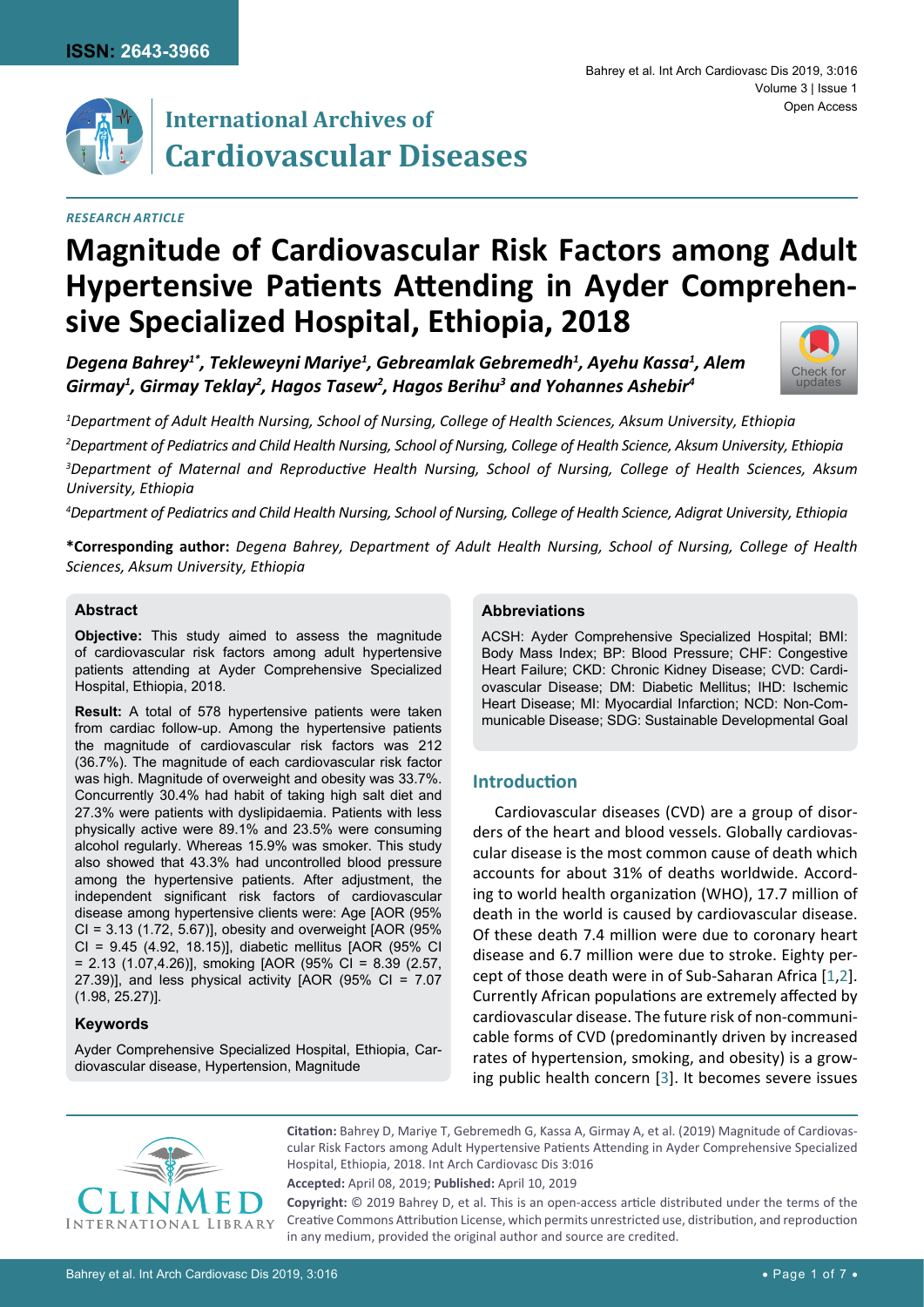

### *Research Article*

#### Bahrey et al. Int Arch Cardiovasc Dis 2019, 3:016 Volume 3 | Issue 1 Open Access



Degena Bahrey $^{\imath^*}$ , Tekleweyni Mariye $^{\imath}$ , Gebreamlak Gebremedh $^{\imath}$ , Ayehu Kassa $^{\imath}$ , Alem *Girmay1 , Girmay Teklay2 , Hagos Tasew2 , Hagos Berihu3 and Yohannes Ashebir4*



 *Department of Adult Health Nursing, School of Nursing, College of Health Sciences, Aksum University, Ethiopia Department of Pediatrics and Child Health Nursing, School of Nursing, College of Health Science, Aksum University, Ethiopia Department of Maternal and Reproductive Health Nursing, School of Nursing, College of Health Sciences, Aksum University, Ethiopia*

*4 Department of Pediatrics and Child Health Nursing, School of Nursing, College of Health Science, Adigrat University, Ethiopia*

**\*Corresponding author:** *Degena Bahrey, Department of Adult Health Nursing, School of Nursing, College of Health Sciences, Aksum University, Ethiopia*

### **Abstract**

**Objective:** This study aimed to assess the magnitude of cardiovascular risk factors among adult hypertensive patients attending at Ayder Comprehensive Specialized Hospital, Ethiopia, 2018.

**Result:** A total of 578 hypertensive patients were taken from cardiac follow-up. Among the hypertensive patients the magnitude of cardiovascular risk factors was 212 (36.7%). The magnitude of each cardiovascular risk factor was high. Magnitude of overweight and obesity was 33.7%. Concurrently 30.4% had habit of taking high salt diet and 27.3% were patients with dyslipidaemia. Patients with less physically active were 89.1% and 23.5% were consuming alcohol regularly. Whereas 15.9% was smoker. This study also showed that 43.3% had uncontrolled blood pressure among the hypertensive patients. After adjustment, the independent significant risk factors of cardiovascular disease among hypertensive clients were: Age [AOR (95% CI = 3.13 (1.72, 5.67)], obesity and overweight [AOR (95% CI = 9.45 (4.92, 18.15)], diabetic mellitus [AOR (95% CI = 2.13 (1.07,4.26)], smoking [AOR (95% CI = 8.39 (2.57, 27.39)], and less physical activity  $[AOR (95\% CI = 7.07$ (1.98, 25.27)].

## **Keywords**

Ayder Comprehensive Specialized Hospital, Ethiopia, Cardiovascular disease, Hypertension, Magnitude

### **Abbreviations**

ACSH: Ayder Comprehensive Specialized Hospital; BMI: Body Mass Index; BP: Blood Pressure; CHF: Congestive Heart Failure; CKD: Chronic Kidney Disease; CVD: Cardiovascular Disease; DM: Diabetic Mellitus; IHD: Ischemic Heart Disease; MI: Myocardial Infarction; NCD: Non-Communicable Disease; SDG: Sustainable Developmental Goal

### **Introduction**

Cardiovascular diseases (CVD) are a group of disorders of the heart and blood vessels. Globally cardiovascular disease is the most common cause of death which accounts for about 31% of deaths worldwide. According to world health organization (WHO), 17.7 million of death in the world is caused by cardiovascular disease. Of these death 7.4 million were due to coronary heart disease and 6.7 million were due to stroke. Eighty percept of those death were in of Sub-Saharan Africa [[1](#page-5-0),[2\]](#page-5-1). Currently African populations are extremely affected by cardiovascular disease. The future risk of non-communicable forms of CVD (predominantly driven by increased rates of hypertension, smoking, and obesity) is a growing public health concern [[3](#page-5-2)]. It becomes severe issues



**Citation:** Bahrey D, Mariye T, Gebremedh G, Kassa A, Girmay A, et al. (2019) Magnitude of Cardiovascular Risk Factors among Adult Hypertensive Patients Attending in Ayder Comprehensive Specialized Hospital, Ethiopia, 2018. Int Arch Cardiovasc Dis 3:016

**Accepted:** April 08, 2019; **Published:** April 10, 2019

**Copyright:** © 2019 Bahrey D, et al. This is an open-access article distributed under the terms of the Creative Commons Attribution License, which permits unrestricted use, distribution, and reproduction in any medium, provided the original author and source are credited.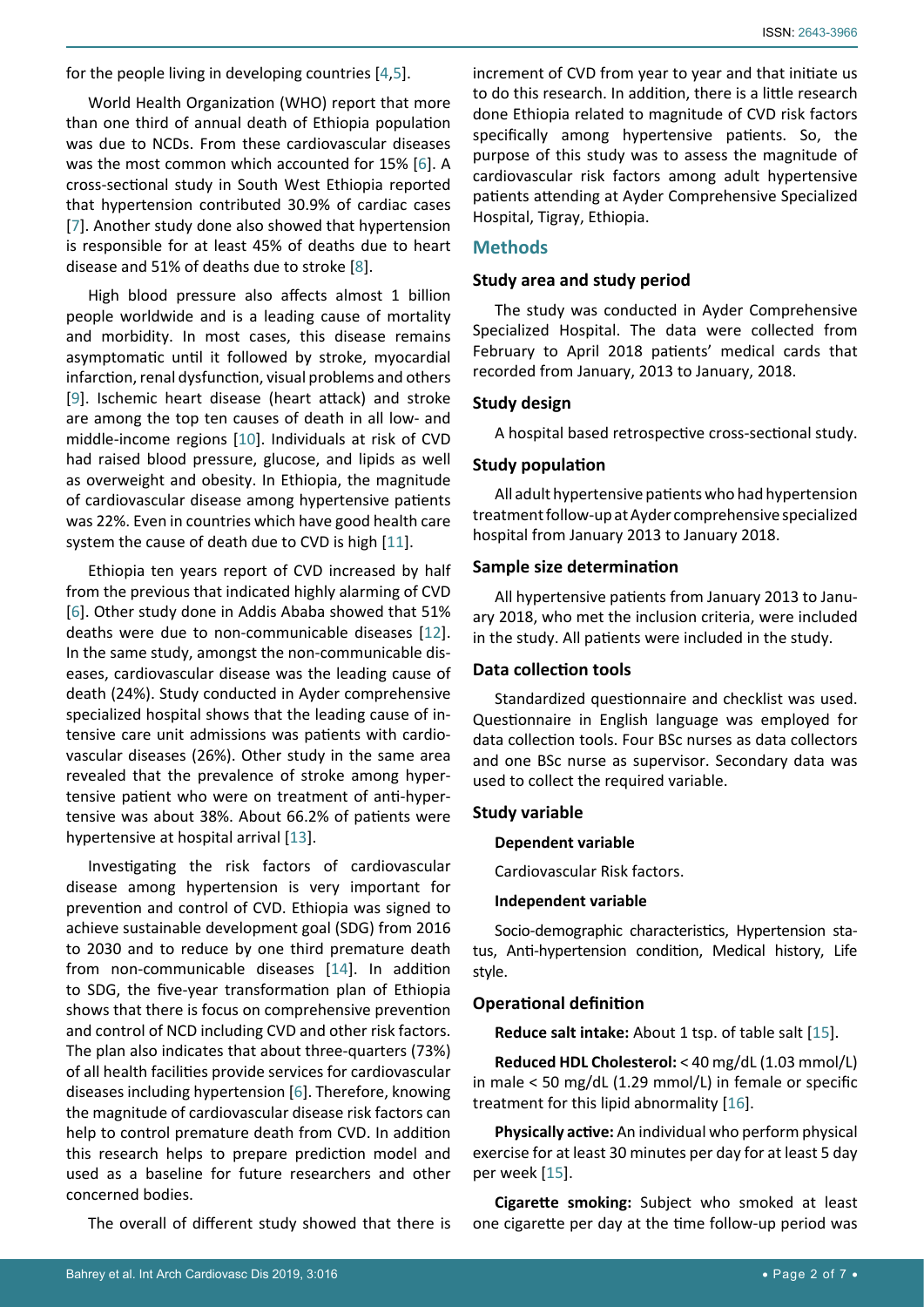for the people living in developing countries [[4,](#page-5-5)[5\]](#page-5-6).

World Health Organization (WHO) report that more than one third of annual death of Ethiopia population was due to NCDs. From these cardiovascular diseases was the most common which accounted for 15% [[6](#page-5-7)]. A cross-sectional study in South West Ethiopia reported that hypertension contributed 30.9% of cardiac cases [[7](#page-5-8)]. Another study done also showed that hypertension is responsible for at least 45% of deaths due to heart disease and 51% of deaths due to stroke [[8](#page-5-9)].

High blood pressure also affects almost 1 billion people worldwide and is a leading cause of mortality and morbidity. In most cases, this disease remains asymptomatic until it followed by stroke, myocardial infarction, renal dysfunction, visual problems and others [[9](#page-5-10)]. Ischemic heart disease (heart attack) and stroke are among the top ten causes of death in all low- and middle-income regions [[10](#page-5-11)]. Individuals at risk of CVD had raised blood pressure, glucose, and lipids as well as overweight and obesity. In Ethiopia, the magnitude of cardiovascular disease among hypertensive patients was 22%. Even in countries which have good health care system the cause of death due to CVD is high [\[11](#page-5-12)].

Ethiopia ten years report of CVD increased by half from the previous that indicated highly alarming of CVD [[6](#page-5-7)]. Other study done in Addis Ababa showed that 51% deaths were due to non-communicable diseases [\[12](#page-5-13)]. In the same study, amongst the non-communicable diseases, cardiovascular disease was the leading cause of death (24%). Study conducted in Ayder comprehensive specialized hospital shows that the leading cause of intensive care unit admissions was patients with cardiovascular diseases (26%). Other study in the same area revealed that the prevalence of stroke among hypertensive patient who were on treatment of anti-hypertensive was about 38%. About 66.2% of patients were hypertensive at hospital arrival [[13\]](#page-5-14).

Investigating the risk factors of cardiovascular disease among hypertension is very important for prevention and control of CVD. Ethiopia was signed to achieve sustainable development goal (SDG) from 2016 to 2030 and to reduce by one third premature death from non-communicable diseases [[14](#page-5-15)]. In addition to SDG, the five-year transformation plan of Ethiopia shows that there is focus on comprehensive prevention and control of NCD including CVD and other risk factors. The plan also indicates that about three-quarters (73%) of all health facilities provide services for cardiovascular diseases including hypertension [\[6](#page-5-7)]. Therefore, knowing the magnitude of cardiovascular disease risk factors can help to control premature death from CVD. In addition this research helps to prepare prediction model and used as a baseline for future researchers and other concerned bodies.

The overall of different study showed that there is

increment of CVD from year to year and that initiate us to do this research. In addition, there is a little research done Ethiopia related to magnitude of CVD risk factors specifically among hypertensive patients. So, the purpose of this study was to assess the magnitude of cardiovascular risk factors among adult hypertensive patients attending at Ayder Comprehensive Specialized Hospital, Tigray, Ethiopia.

## **Methods**

## **Study area and study period**

The study was conducted in Ayder Comprehensive Specialized Hospital. The data were collected from February to April 2018 patients' medical cards that recorded from January, 2013 to January, 2018.

## **Study design**

A hospital based retrospective cross-sectional study.

## **Study population**

All adult hypertensive patients who had hypertension treatment follow-up at Ayder comprehensive specialized hospital from January 2013 to January 2018.

## **Sample size determination**

All hypertensive patients from January 2013 to January 2018, who met the inclusion criteria, were included in the study. All patients were included in the study.

## **Data collection tools**

Standardized questionnaire and checklist was used. Questionnaire in English language was employed for data collection tools. Four BSc nurses as data collectors and one BSc nurse as supervisor. Secondary data was used to collect the required variable.

# **Study variable**

## **Dependent variable**

Cardiovascular Risk factors.

## **Independent variable**

Socio-demographic characteristics, Hypertension status, Anti-hypertension condition, Medical history, Life style.

# **Operational definition**

**Reduce salt intake:** About 1 tsp. of table salt [[15\]](#page-5-3).

**Reduced HDL Cholesterol:** < 40 mg/dL (1.03 mmol/L) in male < 50 mg/dL (1.29 mmol/L) in female or specific treatment for this lipid abnormality [[16](#page-5-4)].

**Physically active:** An individual who perform physical exercise for at least 30 minutes per day for at least 5 day per week [[15](#page-5-3)].

**Cigarette smoking:** Subject who smoked at least one cigarette per day at the time follow-up period was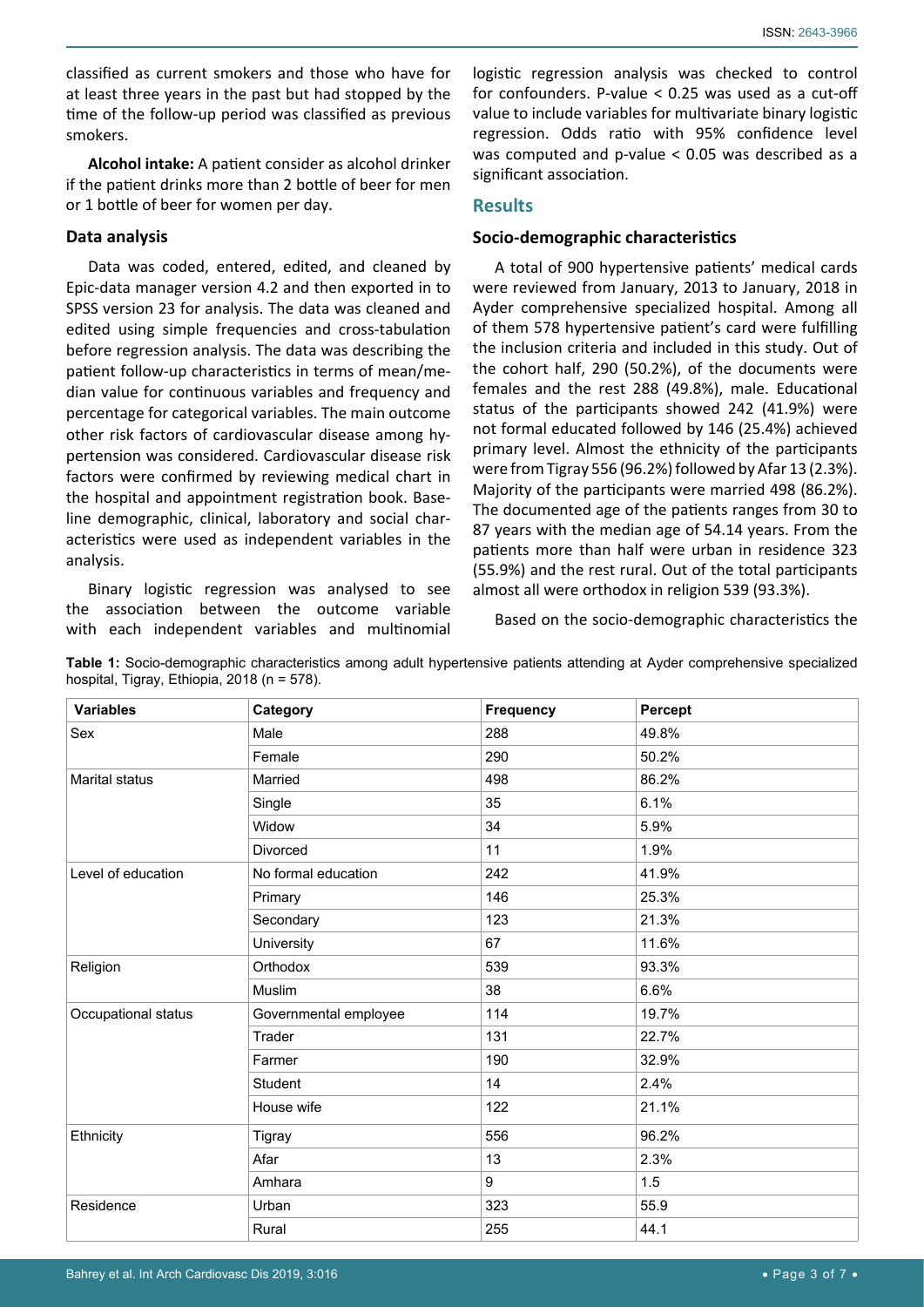classified as current smokers and those who have for at least three years in the past but had stopped by the time of the follow-up period was classified as previous smokers.

**Alcohol intake:** A patient consider as alcohol drinker if the patient drinks more than 2 bottle of beer for men or 1 bottle of beer for women per day.

## **Data analysis**

Data was coded, entered, edited, and cleaned by Epic-data manager version 4.2 and then exported in to SPSS version 23 for analysis. The data was cleaned and edited using simple frequencies and cross-tabulation before regression analysis. The data was describing the patient follow-up characteristics in terms of mean/median value for continuous variables and frequency and percentage for categorical variables. The main outcome other risk factors of cardiovascular disease among hypertension was considered. Cardiovascular disease risk factors were confirmed by reviewing medical chart in the hospital and appointment registration book. Baseline demographic, clinical, laboratory and social characteristics were used as independent variables in the analysis.

Binary logistic regression was analysed to see the association between the outcome variable with each independent variables and multinomial logistic regression analysis was checked to control for confounders. P-value < 0.25 was used as a cut-off value to include variables for multivariate binary logistic regression. Odds ratio with 95% confidence level was computed and p-value < 0.05 was described as a significant association.

# **Results**

## **Socio-demographic characteristics**

A total of 900 hypertensive patients' medical cards were reviewed from January, 2013 to January, 2018 in Ayder comprehensive specialized hospital. Among all of them 578 hypertensive patient's card were fulfilling the inclusion criteria and included in this study. Out of the cohort half, 290 (50.2%), of the documents were females and the rest 288 (49.8%), male. Educational status of the participants showed 242 (41.9%) were not formal educated followed by 146 (25.4%) achieved primary level. Almost the ethnicity of the participants were from Tigray 556 (96.2%) followed by Afar 13 (2.3%). Majority of the participants were married 498 (86.2%). The documented age of the patients ranges from 30 to 87 years with the median age of 54.14 years. From the patients more than half were urban in residence 323 (55.9%) and the rest rural. Out of the total participants almost all were orthodox in religion 539 (93.3%).

Based on the socio-demographic characteristics the

| <b>Variables</b>      | Category              | <b>Frequency</b> | Percept |
|-----------------------|-----------------------|------------------|---------|
| Sex                   | Male                  | 288              | 49.8%   |
|                       | Female                | 290              | 50.2%   |
| <b>Marital status</b> | Married               | 498              | 86.2%   |
|                       | Single                | 35               | 6.1%    |
|                       | Widow                 | 34               | 5.9%    |
|                       | Divorced              | 11               | 1.9%    |
| Level of education    | No formal education   | 242              | 41.9%   |
|                       | Primary               | 146              | 25.3%   |
|                       | Secondary             | 123              | 21.3%   |
|                       | University            | 67               | 11.6%   |
| Religion              | Orthodox              | 539              | 93.3%   |
|                       | Muslim                | 38               | 6.6%    |
| Occupational status   | Governmental employee | 114              | 19.7%   |
|                       | Trader                | 131              | 22.7%   |
|                       | Farmer                | 190              | 32.9%   |
|                       | Student               | 14               | 2.4%    |
|                       | House wife            | 122              | 21.1%   |
| Ethnicity             | Tigray                | 556              | 96.2%   |
|                       | Afar                  | 13               | 2.3%    |
|                       | Amhara                | 9                | 1.5     |
| Residence             | Urban                 | 323              | 55.9    |
|                       | Rural                 | 255              | 44.1    |

<span id="page-2-0"></span>**Table 1:** Socio-demographic characteristics among adult hypertensive patients attending at Ayder comprehensive specialized hospital, Tigray, Ethiopia, 2018 (n = 578).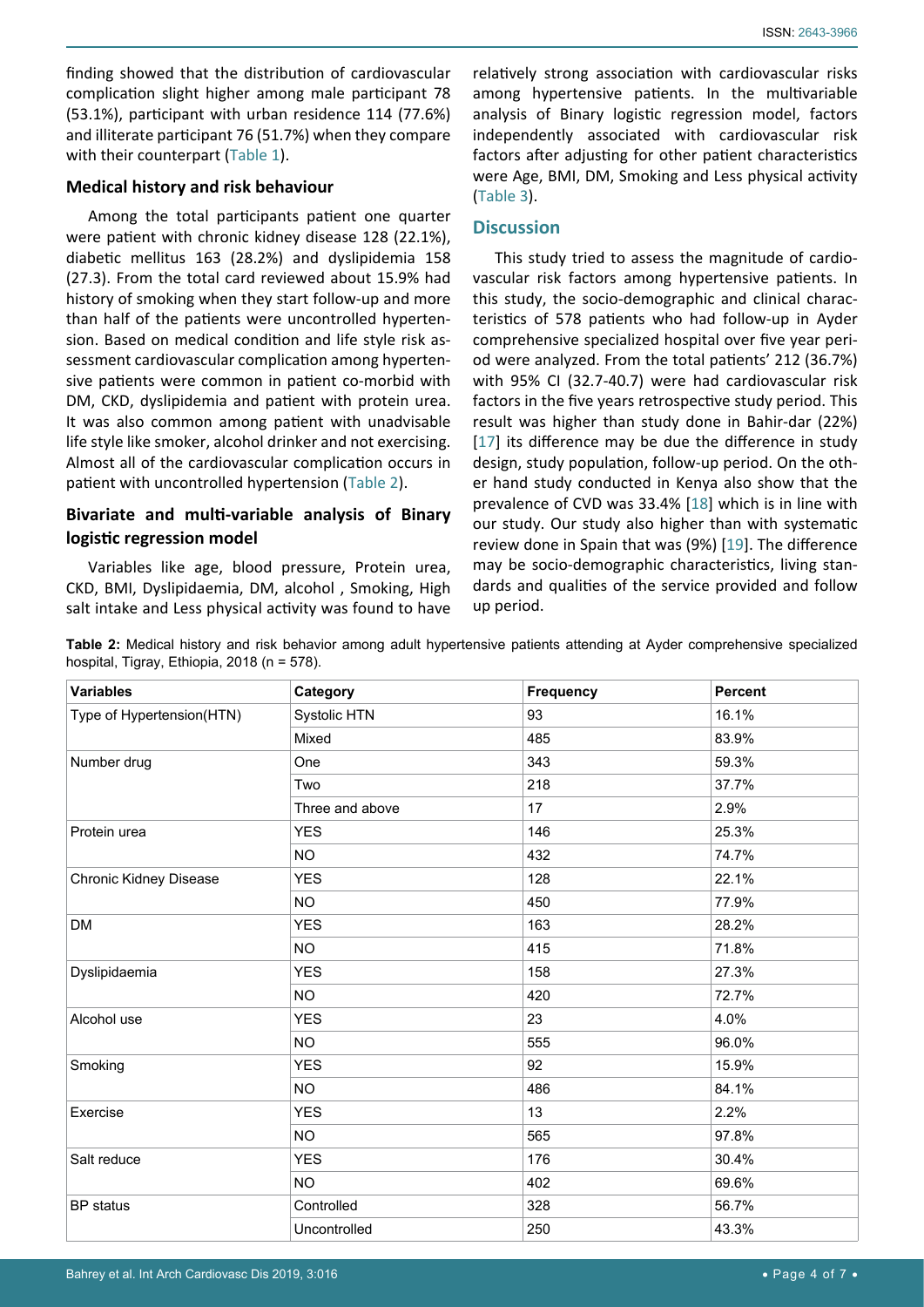finding showed that the distribution of cardiovascular complication slight higher among male participant 78 (53.1%), participant with urban residence 114 (77.6%) and illiterate participant 76 (51.7%) when they compare with their counterpart [\(Table 1\)](#page-2-0).

### **Medical history and risk behaviour**

Among the total participants patient one quarter were patient with chronic kidney disease 128 (22.1%), diabetic mellitus 163 (28.2%) and dyslipidemia 158 (27.3). From the total card reviewed about 15.9% had history of smoking when they start follow-up and more than half of the patients were uncontrolled hypertension. Based on medical condition and life style risk assessment cardiovascular complication among hypertensive patients were common in patient co-morbid with DM, CKD, dyslipidemia and patient with protein urea. It was also common among patient with unadvisable life style like smoker, alcohol drinker and not exercising. Almost all of the cardiovascular complication occurs in patient with uncontrolled hypertension ([Table 2\)](#page-3-0).

# **Bivariate and multi-variable analysis of Binary logistic regression model**

Variables like age, blood pressure, Protein urea, CKD, BMI, Dyslipidaemia, DM, alcohol , Smoking, High salt intake and Less physical activity was found to have

relatively strong association with cardiovascular risks among hypertensive patients. In the multivariable analysis of Binary logistic regression model, factors independently associated with cardiovascular risk factors after adjusting for other patient characteristics were Age, BMI, DM, Smoking and Less physical activity [\(Table 3\)](#page-4-0).

## **Discussion**

This study tried to assess the magnitude of cardiovascular risk factors among hypertensive patients. In this study, the socio-demographic and clinical characteristics of 578 patients who had follow-up in Ayder comprehensive specialized hospital over five year period were analyzed. From the total patients' 212 (36.7%) with 95% CI (32.7-40.7) were had cardiovascular risk factors in the five years retrospective study period. This result was higher than study done in Bahir-dar (22%) [[17](#page-5-16)] its difference may be due the difference in study design, study population, follow-up period. On the other hand study conducted in Kenya also show that the prevalence of CVD was 33.4% [[18](#page-5-17)] which is in line with our study. Our study also higher than with systematic review done in Spain that was (9%) [\[19](#page-6-0)]. The difference may be socio-demographic characteristics, living standards and qualities of the service provided and follow up period.

<span id="page-3-0"></span>**Table 2:** Medical history and risk behavior among adult hypertensive patients attending at Ayder comprehensive specialized hospital, Tigray, Ethiopia, 2018 (n = 578).

| <b>Variables</b>          | Category        | <b>Frequency</b> | <b>Percent</b> |  |  |
|---------------------------|-----------------|------------------|----------------|--|--|
| Type of Hypertension(HTN) | Systolic HTN    | 93               | 16.1%          |  |  |
|                           | Mixed           | 485              | 83.9%          |  |  |
| Number drug               | One             | 343              | 59.3%          |  |  |
|                           | Two             | 218              | 37.7%          |  |  |
|                           | Three and above | 17               | 2.9%           |  |  |
| Protein urea              | <b>YES</b>      | 146              | 25.3%          |  |  |
|                           | <b>NO</b>       | 432              | 74.7%          |  |  |
| Chronic Kidney Disease    | <b>YES</b>      | 128              | 22.1%          |  |  |
|                           | <b>NO</b>       | 450              | 77.9%          |  |  |
| <b>DM</b>                 | <b>YES</b>      | 163              | 28.2%          |  |  |
|                           | <b>NO</b>       | 415              | 71.8%          |  |  |
| Dyslipidaemia             | <b>YES</b>      | 158              | 27.3%          |  |  |
|                           | <b>NO</b>       | 420              | 72.7%          |  |  |
| Alcohol use               | <b>YES</b>      | 23               | 4.0%           |  |  |
|                           | <b>NO</b>       | 555              | 96.0%          |  |  |
| Smoking                   | <b>YES</b>      | 92               | 15.9%          |  |  |
|                           | <b>NO</b>       | 486              | 84.1%          |  |  |
| Exercise                  | <b>YES</b>      | 13               | 2.2%           |  |  |
|                           | <b>NO</b>       | 565              | 97.8%          |  |  |
| Salt reduce               | <b>YES</b>      | 176              | 30.4%          |  |  |
|                           | <b>NO</b>       | 402              | 69.6%          |  |  |
| BP status                 | Controlled      | 328              | 56.7%          |  |  |
|                           | Uncontrolled    | 250              | 43.3%          |  |  |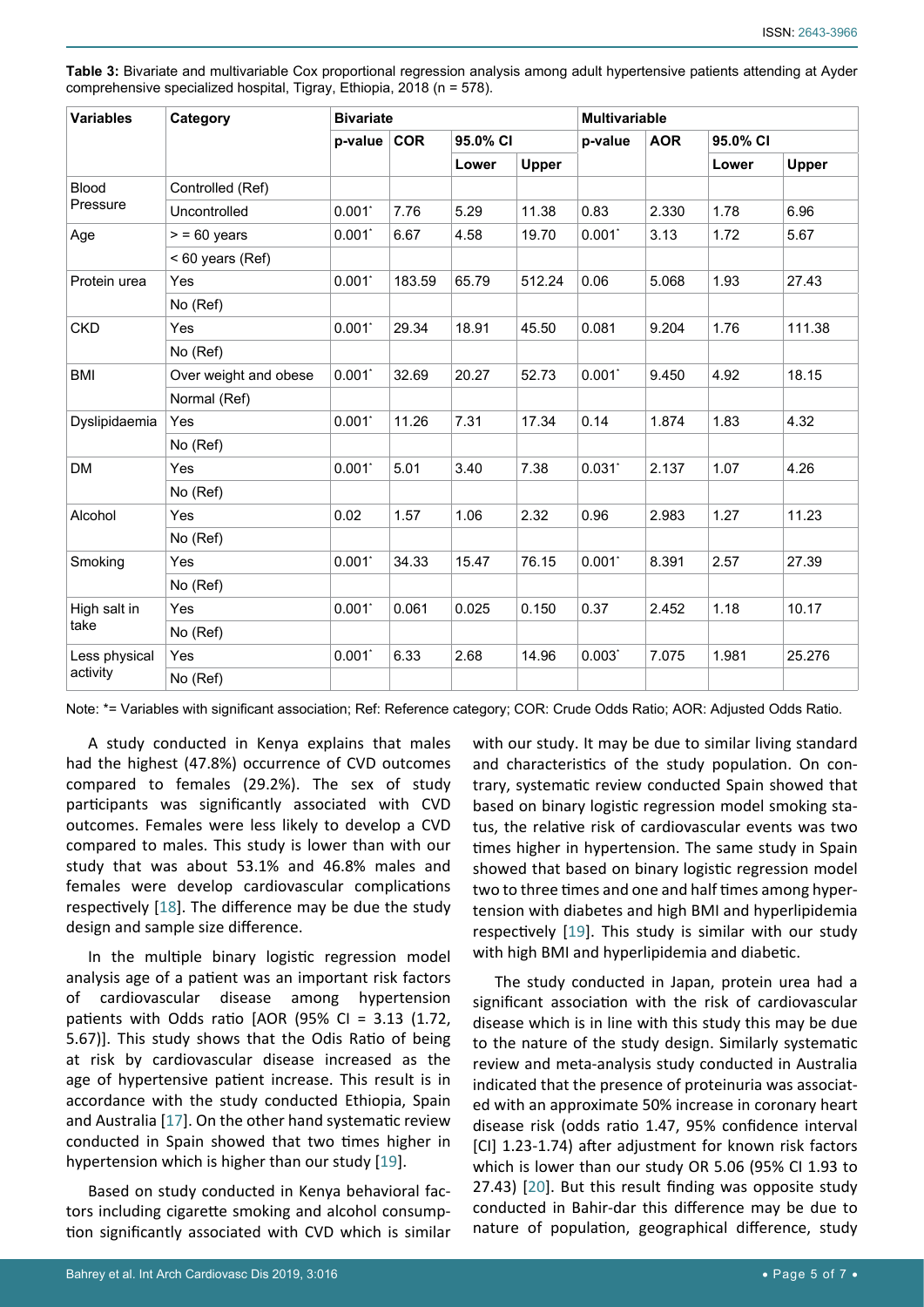| <b>Variables</b>          | Category              | <b>Bivariate</b> |            |          | <b>Multivariable</b> |             |            |          |        |
|---------------------------|-----------------------|------------------|------------|----------|----------------------|-------------|------------|----------|--------|
|                           |                       | $p$ -value       | <b>COR</b> | 95.0% CI |                      | p-value     | <b>AOR</b> | 95.0% CI |        |
|                           |                       |                  |            | Lower    | Upper                |             |            | Lower    | Upper  |
| <b>Blood</b><br>Pressure  | Controlled (Ref)      |                  |            |          |                      |             |            |          |        |
|                           | Uncontrolled          | 0.001            | 7.76       | 5.29     | 11.38                | 0.83        | 2.330      | 1.78     | 6.96   |
| Age                       | $> 60$ years          | 0.001            | 6.67       | 4.58     | 19.70                | 0.001       | 3.13       | 1.72     | 5.67   |
|                           | $< 60$ years (Ref)    |                  |            |          |                      |             |            |          |        |
| Protein urea              | Yes                   | 0.001            | 183.59     | 65.79    | 512.24               | 0.06        | 5.068      | 1.93     | 27.43  |
|                           | No (Ref)              |                  |            |          |                      |             |            |          |        |
| <b>CKD</b>                | Yes                   | 0.001            | 29.34      | 18.91    | 45.50                | 0.081       | 9.204      | 1.76     | 111.38 |
|                           | No (Ref)              |                  |            |          |                      |             |            |          |        |
| <b>BMI</b>                | Over weight and obese | 0.001            | 32.69      | 20.27    | 52.73                | 0.001       | 9.450      | 4.92     | 18.15  |
|                           | Normal (Ref)          |                  |            |          |                      |             |            |          |        |
| Dyslipidaemia             | Yes                   | $0.001^*$        | 11.26      | 7.31     | 17.34                | 0.14        | 1.874      | 1.83     | 4.32   |
|                           | No (Ref)              |                  |            |          |                      |             |            |          |        |
| DM                        | Yes                   | 0.001            | 5.01       | 3.40     | 7.38                 | 0.031       | 2.137      | 1.07     | 4.26   |
|                           | No (Ref)              |                  |            |          |                      |             |            |          |        |
| Alcohol                   | Yes                   | 0.02             | 1.57       | 1.06     | 2.32                 | 0.96        | 2.983      | 1.27     | 11.23  |
|                           | No (Ref)              |                  |            |          |                      |             |            |          |        |
| Smoking                   | Yes                   | 0.001            | 34.33      | 15.47    | 76.15                | 0.001       | 8.391      | 2.57     | 27.39  |
|                           | No (Ref)              |                  |            |          |                      |             |            |          |        |
| High salt in<br>take      | Yes                   | $0.001^*$        | 0.061      | 0.025    | 0.150                | 0.37        | 2.452      | 1.18     | 10.17  |
|                           | No (Ref)              |                  |            |          |                      |             |            |          |        |
| Less physical<br>activity | Yes                   | 0.001            | 6.33       | 2.68     | 14.96                | $0.003^{*}$ | 7.075      | 1.981    | 25.276 |
|                           | No (Ref)              |                  |            |          |                      |             |            |          |        |

<span id="page-4-0"></span>**Table 3:** Bivariate and multivariable Cox proportional regression analysis among adult hypertensive patients attending at Ayder comprehensive specialized hospital, Tigray, Ethiopia, 2018 (n = 578).

Note: \*= Variables with significant association; Ref: Reference category; COR: Crude Odds Ratio; AOR: Adjusted Odds Ratio.

A study conducted in Kenya explains that males had the highest (47.8%) occurrence of CVD outcomes compared to females (29.2%). The sex of study participants was significantly associated with CVD outcomes. Females were less likely to develop a CVD compared to males. This study is lower than with our study that was about 53.1% and 46.8% males and females were develop cardiovascular complications respectively [[18](#page-5-17)]. The difference may be due the study design and sample size difference.

In the multiple binary logistic regression model analysis age of a patient was an important risk factors of cardiovascular disease among hypertension patients with Odds ratio [AOR (95% CI = 3.13 (1.72, 5.67)]. This study shows that the Odis Ratio of being at risk by cardiovascular disease increased as the age of hypertensive patient increase. This result is in accordance with the study conducted Ethiopia, Spain and Australia [[17\]](#page-5-16). On the other hand systematic review conducted in Spain showed that two times higher in hypertension which is higher than our study [[19](#page-6-0)].

Based on study conducted in Kenya behavioral factors including cigarette smoking and alcohol consumption significantly associated with CVD which is similar with our study. It may be due to similar living standard and characteristics of the study population. On contrary, systematic review conducted Spain showed that based on binary logistic regression model smoking status, the relative risk of cardiovascular events was two times higher in hypertension. The same study in Spain showed that based on binary logistic regression model two to three times and one and half times among hypertension with diabetes and high BMI and hyperlipidemia respectively [\[19](#page-6-0)]. This study is similar with our study with high BMI and hyperlipidemia and diabetic.

The study conducted in Japan, protein urea had a significant association with the risk of cardiovascular disease which is in line with this study this may be due to the nature of the study design. Similarly systematic review and meta-analysis study conducted in Australia indicated that the presence of proteinuria was associated with an approximate 50% increase in coronary heart disease risk (odds ratio 1.47, 95% confidence interval [CI] 1.23-1.74) after adjustment for known risk factors which is lower than our study OR 5.06 (95% CI 1.93 to 27.43) [[20](#page-6-1)]. But this result finding was opposite study conducted in Bahir-dar this difference may be due to nature of population, geographical difference, study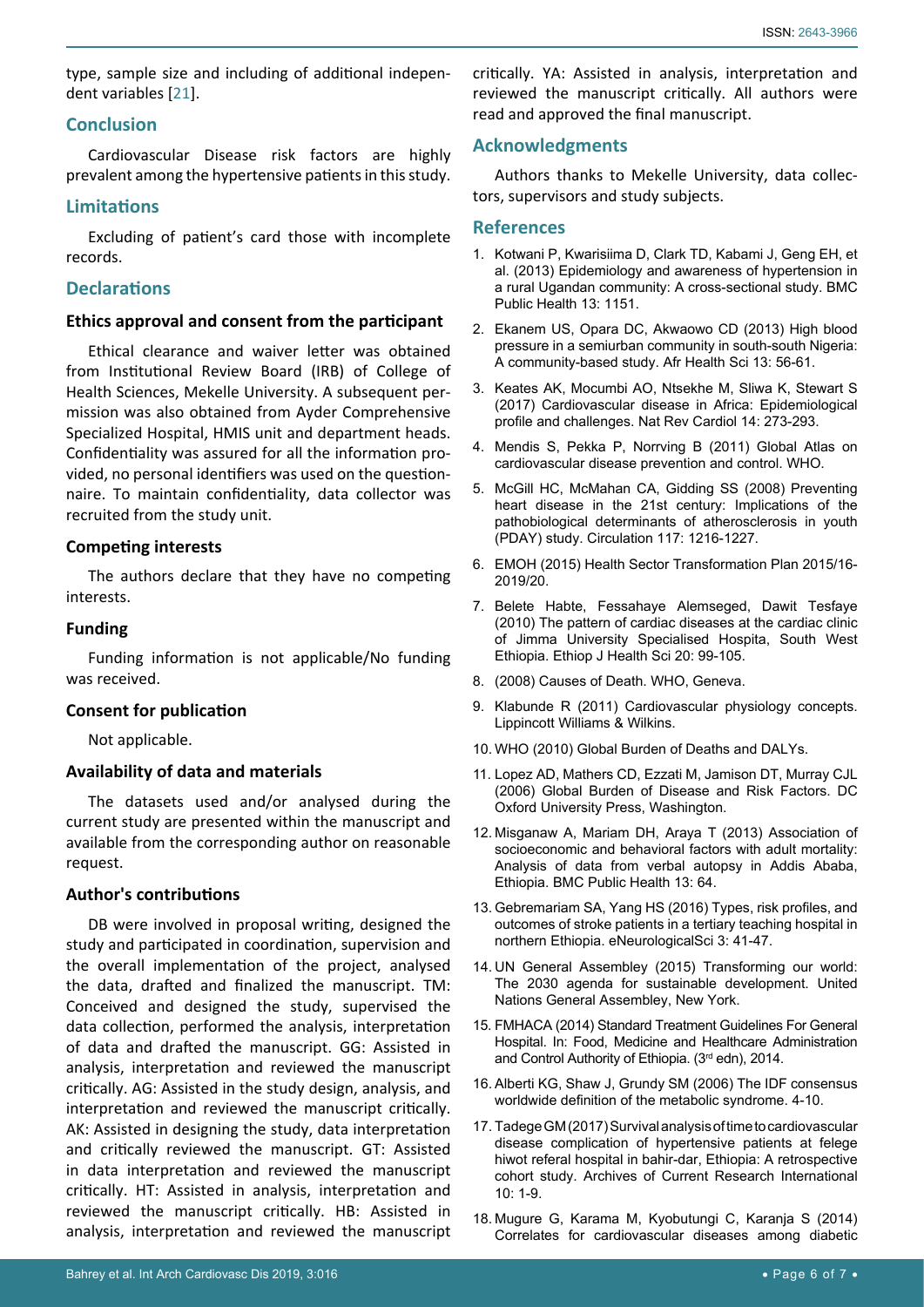type, sample size and including of additional independent variables [[21\]](#page-6-2).

### **Conclusion**

Cardiovascular Disease risk factors are highly prevalent among the hypertensive patients in this study.

### **Limitations**

Excluding of patient's card those with incomplete records.

## **Declarations**

#### **Ethics approval and consent from the participant**

Ethical clearance and waiver letter was obtained from Institutional Review Board (IRB) of College of Health Sciences, Mekelle University. A subsequent permission was also obtained from Ayder Comprehensive Specialized Hospital, HMIS unit and department heads. Confidentiality was assured for all the information provided, no personal identifiers was used on the questionnaire. To maintain confidentiality, data collector was recruited from the study unit.

### **Competing interests**

The authors declare that they have no competing interests.

#### **Funding**

Funding information is not applicable/No funding was received.

#### **Consent for publication**

Not applicable.

### **Availability of data and materials**

The datasets used and/or analysed during the current study are presented within the manuscript and available from the corresponding author on reasonable request.

### **Author's contributions**

DB were involved in proposal writing, designed the study and participated in coordination, supervision and the overall implementation of the project, analysed the data, drafted and finalized the manuscript. TM: Conceived and designed the study, supervised the data collection, performed the analysis, interpretation of data and drafted the manuscript. GG: Assisted in analysis, interpretation and reviewed the manuscript critically. AG: Assisted in the study design, analysis, and interpretation and reviewed the manuscript critically. AK: Assisted in designing the study, data interpretation and critically reviewed the manuscript. GT: Assisted in data interpretation and reviewed the manuscript critically. HT: Assisted in analysis, interpretation and reviewed the manuscript critically. HB: Assisted in analysis, interpretation and reviewed the manuscript

### **Acknowledgments**

Authors thanks to Mekelle University, data collectors, supervisors and study subjects.

### **References**

- <span id="page-5-0"></span>1. [Kotwani P, Kwarisiima D, Clark TD, Kabami J, Geng EH, et](https://bmcpublichealth.biomedcentral.com/articles/10.1186/1471-2458-13-1151)  [al. \(2013\) Epidemiology and awareness of hypertension in](https://bmcpublichealth.biomedcentral.com/articles/10.1186/1471-2458-13-1151)  [a rural Ugandan community: A cross-sectional study. BMC](https://bmcpublichealth.biomedcentral.com/articles/10.1186/1471-2458-13-1151)  [Public Health 13: 1151.](https://bmcpublichealth.biomedcentral.com/articles/10.1186/1471-2458-13-1151)
- <span id="page-5-1"></span>2. [Ekanem US, Opara DC, Akwaowo CD \(2013\) High blood](https://www.ncbi.nlm.nih.gov/pubmed/23658568)  [pressure in a semiurban community in south-south Nigeria:](https://www.ncbi.nlm.nih.gov/pubmed/23658568)  [A community-based study. Afr Health Sci 13: 56-61.](https://www.ncbi.nlm.nih.gov/pubmed/23658568)
- <span id="page-5-2"></span>3. [Keates AK, Mocumbi AO, Ntsekhe M, Sliwa K, Stewart S](https://www.ncbi.nlm.nih.gov/pubmed/28230175)  [\(2017\) Cardiovascular disease in Africa: Epidemiological](https://www.ncbi.nlm.nih.gov/pubmed/28230175)  [profile and challenges. Nat Rev Cardiol 14: 273-293.](https://www.ncbi.nlm.nih.gov/pubmed/28230175)
- <span id="page-5-5"></span>4. [Mendis S, Pekka P, Norrving B \(2011\) Global Atlas on](https://www.who.int/cardiovascular_diseases/publications/atlas_cvd/en/)  [cardiovascular disease prevention and control. WHO.](https://www.who.int/cardiovascular_diseases/publications/atlas_cvd/en/)
- <span id="page-5-6"></span>5. [McGill HC, McMahan CA, Gidding SS \(2008\) Preventing](https://www.ncbi.nlm.nih.gov/pubmed/18316498)  [heart disease in the 21st century: Implications of the](https://www.ncbi.nlm.nih.gov/pubmed/18316498)  [pathobiological determinants of atherosclerosis in youth](https://www.ncbi.nlm.nih.gov/pubmed/18316498)  [\(PDAY\) study. Circulation 117: 1216-1227.](https://www.ncbi.nlm.nih.gov/pubmed/18316498)
- <span id="page-5-7"></span>6. EMOH (2015) Health Sector Transformation Plan 2015/16- 2019/20.
- <span id="page-5-8"></span>7. [Belete Habte, Fessahaye Alemseged, Dawit Tesfaye](https://www.ncbi.nlm.nih.gov/pmc/articles/PMC3275840/)  [\(2010\) The pattern of cardiac diseases at the cardiac clinic](https://www.ncbi.nlm.nih.gov/pmc/articles/PMC3275840/)  [of Jimma University Specialised Hospita, South West](https://www.ncbi.nlm.nih.gov/pmc/articles/PMC3275840/)  [Ethiopia. Ethiop J Health Sci 20: 99-105.](https://www.ncbi.nlm.nih.gov/pmc/articles/PMC3275840/)
- <span id="page-5-9"></span>8. (2008) Causes of Death. WHO, Geneva.
- <span id="page-5-10"></span>9. Klabunde R (2011) Cardiovascular physiology concepts. Lippincott Williams & Wilkins.
- <span id="page-5-11"></span>10. WHO (2010) Global Burden of Deaths and DALYs.
- <span id="page-5-12"></span>11. [Lopez AD, Mathers CD, Ezzati M, Jamison DT, Murray CJL](https://www.ncbi.nlm.nih.gov/books/NBK11812/)  [\(2006\) Global Burden of Disease and Risk Factors. DC](https://www.ncbi.nlm.nih.gov/books/NBK11812/)  [Oxford University Press, Washington.](https://www.ncbi.nlm.nih.gov/books/NBK11812/)
- <span id="page-5-13"></span>12. [Misganaw A, Mariam DH, Araya T \(2013\) Association of](https://bmcpublichealth.biomedcentral.com/articles/10.1186/1471-2458-13-634)  [socioeconomic and behavioral factors with adult mortality:](https://bmcpublichealth.biomedcentral.com/articles/10.1186/1471-2458-13-634)  [Analysis of data from verbal autopsy in Addis Ababa,](https://bmcpublichealth.biomedcentral.com/articles/10.1186/1471-2458-13-634)  [Ethiopia. BMC Public Health 13: 64.](https://bmcpublichealth.biomedcentral.com/articles/10.1186/1471-2458-13-634)
- <span id="page-5-14"></span>13. [Gebremariam SA, Yang HS \(2016\) Types, risk profiles, and](https://www.ncbi.nlm.nih.gov/pubmed/29430535)  [outcomes of stroke patients in a tertiary teaching hospital in](https://www.ncbi.nlm.nih.gov/pubmed/29430535)  [northern Ethiopia. eNeurologicalSci 3: 41-47.](https://www.ncbi.nlm.nih.gov/pubmed/29430535)
- <span id="page-5-15"></span>14. [UN General Assembley \(2015\) Transforming our world:](https://www.un.org/en/development/desa/population/migration/generalassembly/docs/globalcompact/A_RES_70_1_E.pdf)  [The 2030 agenda for sustainable development. United](https://www.un.org/en/development/desa/population/migration/generalassembly/docs/globalcompact/A_RES_70_1_E.pdf)  [Nations General Assembley, New York.](https://www.un.org/en/development/desa/population/migration/generalassembly/docs/globalcompact/A_RES_70_1_E.pdf)
- <span id="page-5-3"></span>15. [FMHACA \(2014\) Standard Treatment Guidelines For General](http://apps.who.int/medicinedocs/documents/s21694en/s21694en.pdf)  [Hospital. In: Food, Medicine and Healthcare Administration](http://apps.who.int/medicinedocs/documents/s21694en/s21694en.pdf)  [and Control Authority of Ethiopia. \(3rd edn\), 2014.](http://apps.who.int/medicinedocs/documents/s21694en/s21694en.pdf)
- <span id="page-5-4"></span>16. [Alberti KG, Shaw J, Grundy SM \(2006\) The IDF consensus](https://www.pitt.edu/~super1/Metabolic/IDF1.pdf)  [worldwide definition of the metabolic syndrome. 4-10.](https://www.pitt.edu/~super1/Metabolic/IDF1.pdf)
- <span id="page-5-16"></span>17. [Tadege GM \(2017\) Survival analysis of time to cardiovascular](http://www.journalrepository.org/media/journals/ACRI_41/2017/Nov/Tadege1032017ACRI36017.pdf)  [disease complication of hypertensive patients at felege](http://www.journalrepository.org/media/journals/ACRI_41/2017/Nov/Tadege1032017ACRI36017.pdf)  [hiwot referal hospital in bahir-dar, Ethiopia: A retrospective](http://www.journalrepository.org/media/journals/ACRI_41/2017/Nov/Tadege1032017ACRI36017.pdf)  [cohort study. Archives of Current Research International](http://www.journalrepository.org/media/journals/ACRI_41/2017/Nov/Tadege1032017ACRI36017.pdf)  [10: 1-9.](http://www.journalrepository.org/media/journals/ACRI_41/2017/Nov/Tadege1032017ACRI36017.pdf)
- <span id="page-5-17"></span>18. [Mugure G, Karama M, Kyobutungi C, Karanja S \(2014\)](https://www.ncbi.nlm.nih.gov/pubmed/25852804)  [Correlates for cardiovascular diseases among diabetic](https://www.ncbi.nlm.nih.gov/pubmed/25852804)